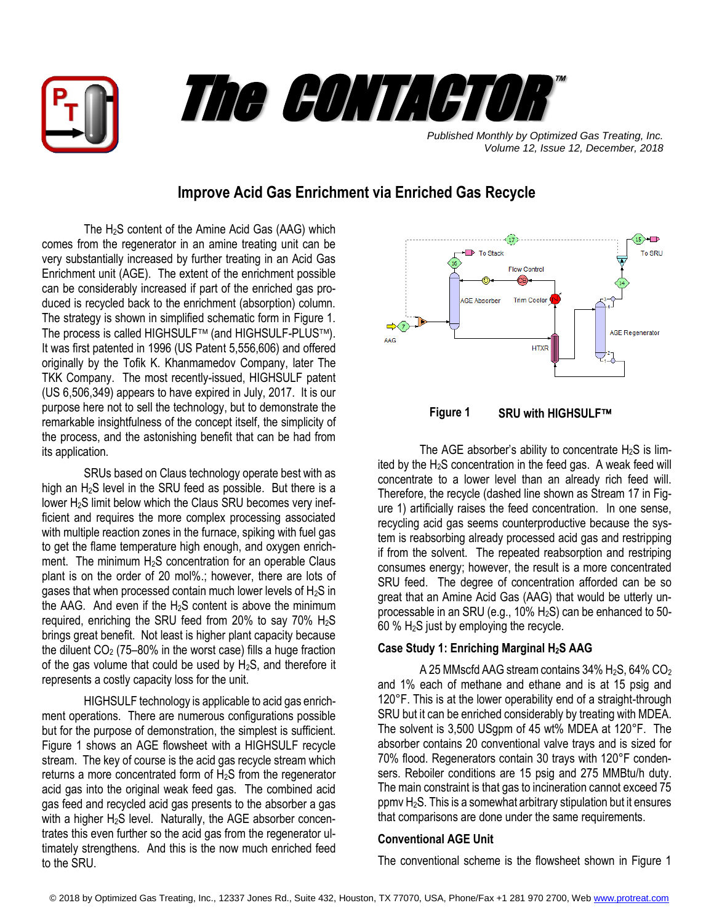



*Published Monthly by Optimized Gas Treating, Inc. Volume 12, Issue 12, December, 2018*

# **Improve Acid Gas Enrichment via Enriched Gas Recycle**

The H2S content of the Amine Acid Gas (AAG) which comes from the regenerator in an amine treating unit can be very substantially increased by further treating in an Acid Gas Enrichment unit (AGE). The extent of the enrichment possible can be considerably increased if part of the enriched gas produced is recycled back to the enrichment (absorption) column. The strategy is shown in simplified schematic form in Figure 1. The process is called HIGHSULF<sup>™</sup> (and HIGHSULF-PLUS™). It was first patented in 1996 (US Patent 5,556,606) and offered originally by the Tofik K. Khanmamedov Company, later The TKK Company. The most recently-issued, HIGHSULF patent (US 6,506,349) appears to have expired in July, 2017. It is our purpose here not to sell the technology, but to demonstrate the remarkable insightfulness of the concept itself, the simplicity of the process, and the astonishing benefit that can be had from its application.

SRUs based on Claus technology operate best with as high an  $H_2S$  level in the SRU feed as possible. But there is a lower H2S limit below which the Claus SRU becomes very inefficient and requires the more complex processing associated with multiple reaction zones in the furnace, spiking with fuel gas to get the flame temperature high enough, and oxygen enrichment. The minimum  $H_2S$  concentration for an operable Claus plant is on the order of 20 mol%.; however, there are lots of gases that when processed contain much lower levels of  $H_2S$  in the AAG. And even if the H<sub>2</sub>S content is above the minimum required, enriching the SRU feed from 20% to say 70%  $H_2S$ brings great benefit. Not least is higher plant capacity because the diluent  $CO<sub>2</sub>$  (75–80% in the worst case) fills a huge fraction of the gas volume that could be used by  $H_2S$ , and therefore it represents a costly capacity loss for the unit.

HIGHSULF technology is applicable to acid gas enrichment operations. There are numerous configurations possible but for the purpose of demonstration, the simplest is sufficient. Figure 1 shows an AGE flowsheet with a HIGHSULF recycle stream. The key of course is the acid gas recycle stream which returns a more concentrated form of  $H_2S$  from the regenerator acid gas into the original weak feed gas. The combined acid gas feed and recycled acid gas presents to the absorber a gas with a higher H<sub>2</sub>S level. Naturally, the AGE absorber concentrates this even further so the acid gas from the regenerator ultimately strengthens. And this is the now much enriched feed to the SRU.





The AGE absorber's ability to concentrate  $H_2S$  is limited by the  $H_2S$  concentration in the feed gas. A weak feed will concentrate to a lower level than an already rich feed will. Therefore, the recycle (dashed line shown as Stream 17 in Figure 1) artificially raises the feed concentration. In one sense, recycling acid gas seems counterproductive because the system is reabsorbing already processed acid gas and restripping if from the solvent. The repeated reabsorption and restriping consumes energy; however, the result is a more concentrated SRU feed. The degree of concentration afforded can be so great that an Amine Acid Gas (AAG) that would be utterly unprocessable in an SRU (e.g., 10%  $H_2$ S) can be enhanced to 50- $60\%$  H<sub>2</sub>S just by employing the recycle.

# **Case Study 1: Enriching Marginal H2S AAG**

A 25 MMscfd AAG stream contains  $34\%$  H<sub>2</sub>S,  $64\%$  CO<sub>2</sub> and 1% each of methane and ethane and is at 15 psig and 120°F. This is at the lower operability end of a straight-through SRU but it can be enriched considerably by treating with MDEA. The solvent is 3,500 USgpm of 45 wt% MDEA at 120°F. The absorber contains 20 conventional valve trays and is sized for 70% flood. Regenerators contain 30 trays with 120°F condensers. Reboiler conditions are 15 psig and 275 MMBtu/h duty. The main constraint is that gas to incineration cannot exceed 75 ppmv H2S. This is a somewhat arbitrary stipulation but it ensures that comparisons are done under the same requirements.

## **Conventional AGE Unit**

The conventional scheme is the flowsheet shown in Figure 1